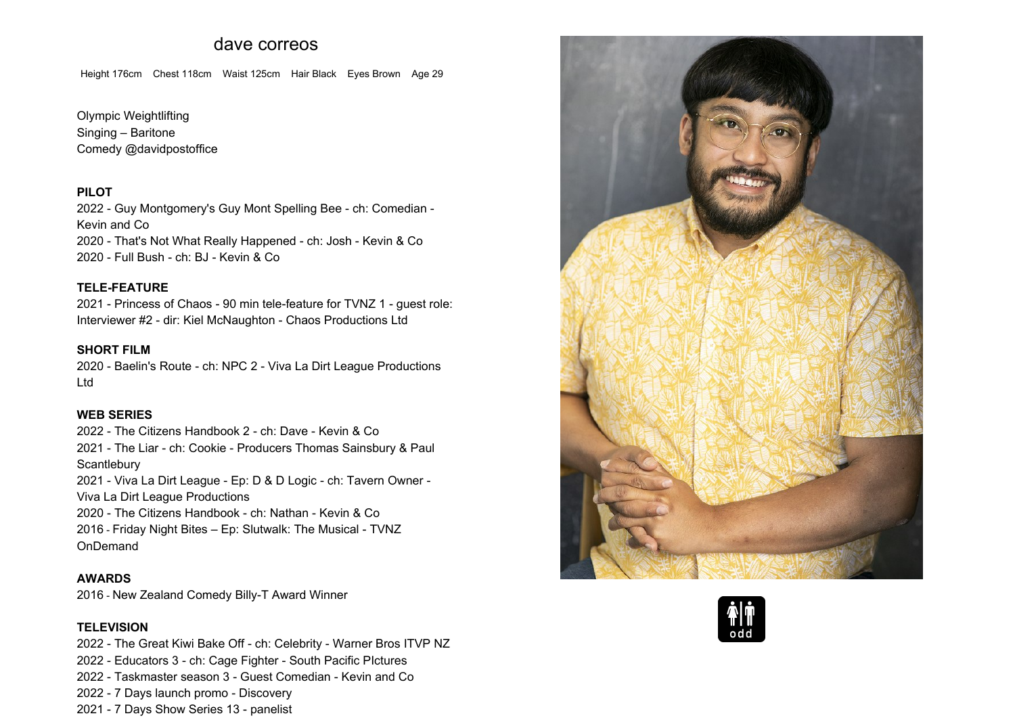# **dave correos**

**Height 176cm Chest 118cm Waist 125cm Hair Black Eyes Brown Age <sup>29</sup>**

**Olympic WeightliftingSinging – Baritone Comedy @davidpostoffice**

#### **PILOT**

 **2022 - Guy Montgomery's Guy Mont Spelling Bee - ch: Comedian - Kevin and Co 2020 - That's Not What Really Happened - ch: Josh - Kevin & Co 2020 - Full Bush - ch: BJ - Kevin & Co**

#### **TELE-FEATURE**

 **2021 - Princess of Chaos - <sup>90</sup> min tele-feature for TVNZ <sup>1</sup> - guest role: Interviewer #2 - dir: Kiel McNaughton - Chaos Productions Ltd**

# **SHORT FILM**

 **2020 - Baelin's Route - ch: NPC <sup>2</sup> - Viva La Dirt League Productions Ltd**

# **WEB SERIES**

**2022 - The Citizens Handbook <sup>2</sup> - ch: Dave - Kevin & Co 2021 - The Liar - ch: Cookie - Producers Thomas Sainsbury & Paul Scantlebury**

 **2021 - Viva La Dirt League - Ep: <sup>D</sup> & <sup>D</sup> Logic - ch: Tavern Owner - VivaLa Dirt League Productions**

**2020 - The Citizens Handbook - ch: Nathan - Kevin & Co 2016 - Friday Night Bites – Ep: Slutwalk: The Musical - TVNZOnDemand**

#### **AWARDS**

**2016 - New Zealand Comedy Billy-T Award Winner**

#### **TELEVISION**

 **2022 - The Great Kiwi Bake Off - ch: Celebrity - Warner Bros ITVP NZ - Educators <sup>3</sup> - ch: Cage Fighter - South Pacific PIctures - Taskmaster season <sup>3</sup> - Guest Comedian - Kevin and Co - <sup>7</sup> Days launch promo - Discovery - <sup>7</sup> Days Show Series <sup>13</sup> - panelist**



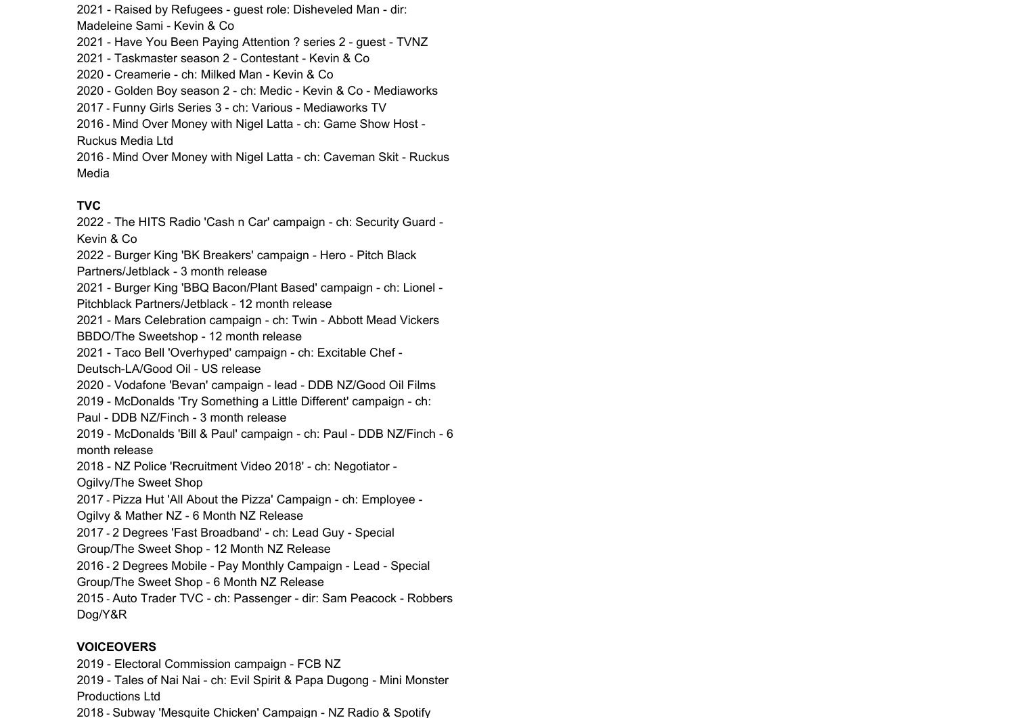**2021 - Raised by Refugees - guest role: Disheveled Man - dir:**

**Madeleine Sami - Kevin & Co**

**2021 - Have You Been Paying Attention ? series <sup>2</sup> - guest - TVNZ**

**2021 - Taskmaster season <sup>2</sup> - Contestant - Kevin & Co**

**2020 - Creamerie - ch: Milked Man - Kevin & Co**

**2020 - Golden Boy season <sup>2</sup> - ch: Medic - Kevin & Co - Mediaworks**

**2017 - Funny Girls Series <sup>3</sup> - ch: Various - Mediaworks TV**

 **2016 - Mind Over Money with Nigel Latta - ch: Game Show Host - RuckusMedia Ltd**

**2016 - Mind Over Money with Nigel Latta - ch: Caveman Skit - Ruckus Media**

### **TVC**

 **2022 - The HITS Radio 'Cash <sup>n</sup> Car' campaign - ch: Security Guard - Kevin & Co 2022 - Burger King 'BK Breakers' campaign - Hero - Pitch Black Partners/Jetblack - <sup>3</sup> month release 2021 - Burger King 'BBQ Bacon/Plant Based' campaign - ch: Lionel - Pitchblack Partners/Jetblack - <sup>12</sup> month release 2021 - Mars Celebration campaign - ch: Twin - Abbott Mead Vickers BBDO/The Sweetshop - <sup>12</sup> month release 2021 - Taco Bell 'Overhyped' campaign - ch: Excitable Chef - Deutsch-LA/Good Oil - US release 2020 - Vodafone 'Bevan' campaign - lead - DDB NZ/Good Oil Films 2019 - McDonalds 'Try Something <sup>a</sup> Little Different' campaign - ch: Paul - DDB NZ/Finch - <sup>3</sup> month release 2019 - McDonalds 'Bill & Paul' campaign - ch: Paul - DDB NZ/Finch - <sup>6</sup> month release 2018 - NZ Police 'Recruitment Video 2018' - ch: Negotiator - Ogilvy/TheOgilvy/The Sweet Shop 2017 - Pizza Hut 'All About the Pizza' Campaign - ch: Employee - Ogilvy & Mather NZ - <sup>6</sup> Month NZ Release 2017 - <sup>2</sup> Degrees 'Fast Broadband' - ch: Lead Guy - Special Group/The Sweet Shop - <sup>12</sup> Month NZ Release 2016 - <sup>2</sup> Degrees Mobile - Pay Monthly Campaign - Lead - Special Group/The Sweet Shop - <sup>6</sup> Month NZ Release 2015 - Auto Trader TVC - ch: Passenger - dir: Sam Peacock - Robbers Dog/Y&R**

### **VOICEOVERS**

 **2019 - Electoral Commission campaign - FCB NZ 2019 - Tales of Nai Nai - ch: Evil Spirit & Papa Dugong - Mini Monster Productions Ltd2018 - Subway 'Mesquite Chicken' Campaign - NZ Radio & Spotify**